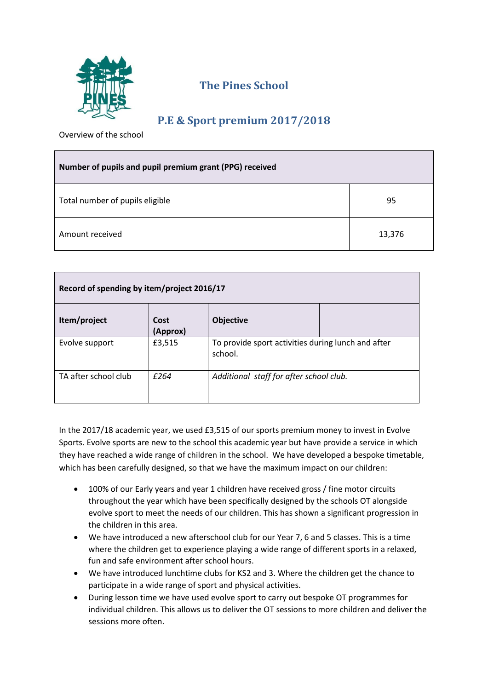

## **The Pines School**

## **P.E & Sport premium 2017/2018**

Overview of the school

| Number of pupils and pupil premium grant (PPG) received |        |  |
|---------------------------------------------------------|--------|--|
| Total number of pupils eligible                         | 95     |  |
| Amount received                                         | 13,376 |  |

| Record of spending by item/project 2016/17 |                  |                                                               |  |  |
|--------------------------------------------|------------------|---------------------------------------------------------------|--|--|
| Item/project                               | Cost<br>(Approx) | <b>Objective</b>                                              |  |  |
| Evolve support                             | £3,515           | To provide sport activities during lunch and after<br>school. |  |  |
| TA after school club                       | f264             | Additional staff for after school club.                       |  |  |

In the 2017/18 academic year, we used £3,515 of our sports premium money to invest in Evolve Sports. Evolve sports are new to the school this academic year but have provide a service in which they have reached a wide range of children in the school. We have developed a bespoke timetable, which has been carefully designed, so that we have the maximum impact on our children:

- 100% of our Early years and year 1 children have received gross / fine motor circuits throughout the year which have been specifically designed by the schools OT alongside evolve sport to meet the needs of our children. This has shown a significant progression in the children in this area.
- We have introduced a new afterschool club for our Year 7, 6 and 5 classes. This is a time where the children get to experience playing a wide range of different sports in a relaxed, fun and safe environment after school hours.
- We have introduced lunchtime clubs for KS2 and 3. Where the children get the chance to participate in a wide range of sport and physical activities.
- During lesson time we have used evolve sport to carry out bespoke OT programmes for individual children. This allows us to deliver the OT sessions to more children and deliver the sessions more often.